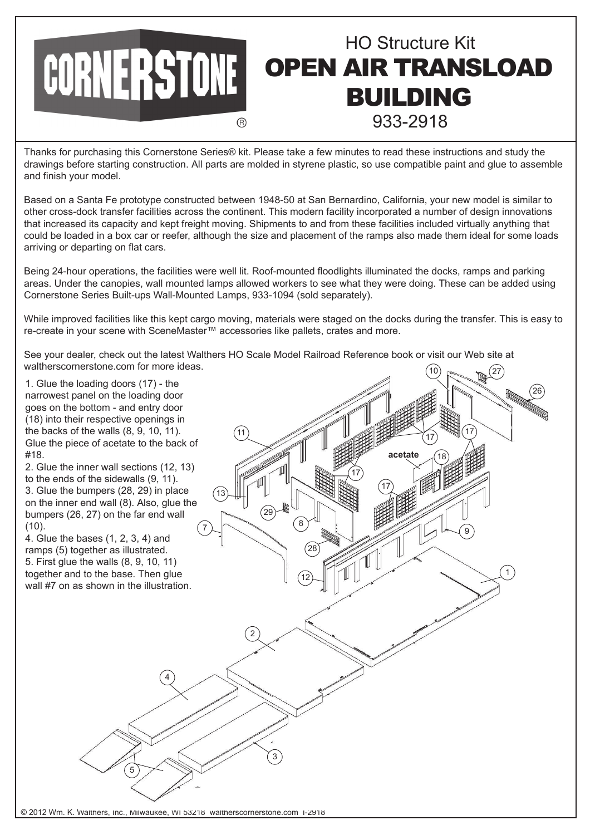

Thanks for purchasing this Cornerstone Series® kit. Please take a few minutes to read these instructions and study the drawings before starting construction. All parts are molded in styrene plastic, so use compatible paint and glue to assemble and finish your model.

Based on a Santa Fe prototype constructed between 1948-50 at San Bernardino, California, your new model is similar to other cross-dock transfer facilities across the continent. This modern facility incorporated a number of design innovations that increased its capacity and kept freight moving. Shipments to and from these facilities included virtually anything that could be loaded in a box car or reefer, although the size and placement of the ramps also made them ideal for some loads arriving or departing on flat cars.

Being 24-hour operations, the facilities were well lit. Roof-mounted floodlights illuminated the docks, ramps and parking areas. Under the canopies, wall mounted lamps allowed workers to see what they were doing. These can be added using Cornerstone Series Built-ups Wall-Mounted Lamps, 933-1094 (sold separately).

While improved facilities like this kept cargo moving, materials were staged on the docks during the transfer. This is easy to re-create in your scene with SceneMaster™ accessories like pallets, crates and more.

See your dealer, check out the latest Walthers HO Scale Model Railroad Reference book or visit our Web site at waltherscornerstone.com for more ideas. 10)  $\sim$   $\sim$  (27)

© 2012 Wm. K. Walthers, Inc., Milwaukee, WI 53218 waltherscornerstone.com I-2918 1. Glue the loading doors (17) - the narrowest panel on the loading door goes on the bottom - and entry door (18) into their respective openings in the backs of the walls (8, 9, 10, 11). Glue the piece of acetate to the back of #18. 2. Glue the inner wall sections (12, 13) to the ends of the sidewalls (9, 11). 3. Glue the bumpers (28, 29) in place on the inner end wall (8). Also, glue the bumpers (26, 27) on the far end wall (10). 4. Glue the bases (1, 2, 3, 4) and ramps (5) together as illustrated. 5. First glue the walls (8, 9, 10, 11) together and to the base. Then glue wall #7 on as shown in the illustration. 11 13 17 17  $\frac{1}{17}$   $\frac{1}{17}$   $\frac{1}{17}$ acetate 29 8 28 7 12 9 26 1 2 4 3 5